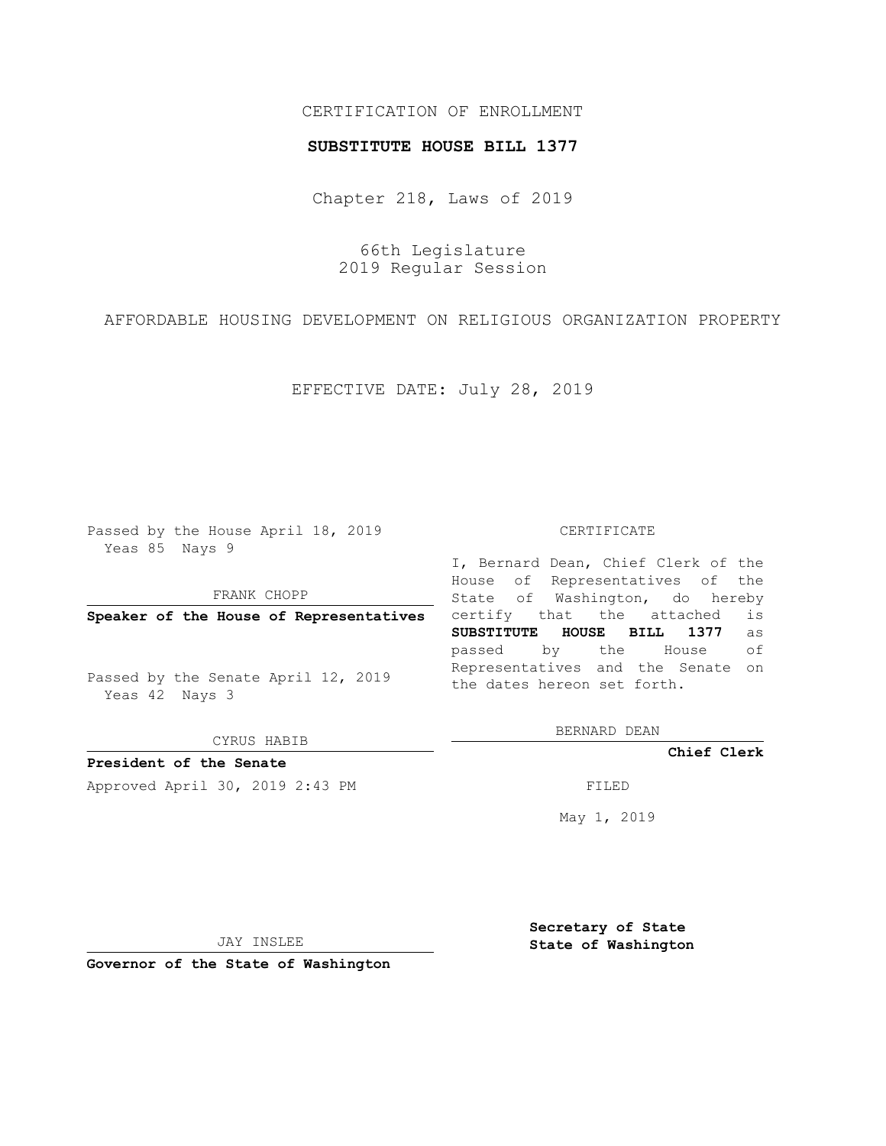## CERTIFICATION OF ENROLLMENT

### **SUBSTITUTE HOUSE BILL 1377**

Chapter 218, Laws of 2019

66th Legislature 2019 Regular Session

AFFORDABLE HOUSING DEVELOPMENT ON RELIGIOUS ORGANIZATION PROPERTY

EFFECTIVE DATE: July 28, 2019

Passed by the House April 18, 2019 Yeas 85 Nays 9

FRANK CHOPP

**Speaker of the House of Representatives**

Passed by the Senate April 12, 2019 Yeas 42 Nays 3

CYRUS HABIB

**President of the Senate**

Approved April 30, 2019 2:43 PM FILED

#### CERTIFICATE

I, Bernard Dean, Chief Clerk of the House of Representatives of the State of Washington, do hereby certify that the attached is **SUBSTITUTE HOUSE BILL 1377** as passed by the House of Representatives and the Senate on the dates hereon set forth.

BERNARD DEAN

**Chief Clerk**

May 1, 2019

JAY INSLEE

**Governor of the State of Washington**

**Secretary of State State of Washington**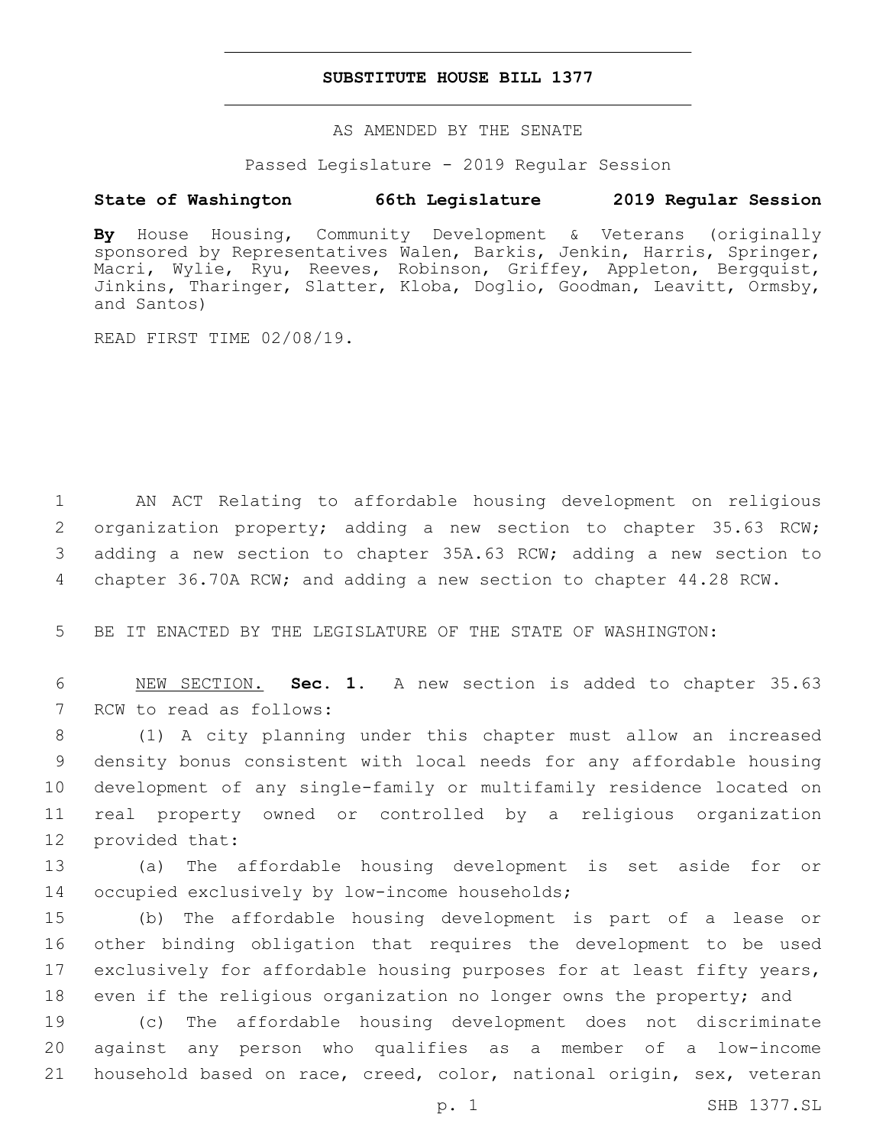## **SUBSTITUTE HOUSE BILL 1377**

AS AMENDED BY THE SENATE

Passed Legislature - 2019 Regular Session

# **State of Washington 66th Legislature 2019 Regular Session**

**By** House Housing, Community Development & Veterans (originally sponsored by Representatives Walen, Barkis, Jenkin, Harris, Springer, Macri, Wylie, Ryu, Reeves, Robinson, Griffey, Appleton, Bergquist, Jinkins, Tharinger, Slatter, Kloba, Doglio, Goodman, Leavitt, Ormsby, and Santos)

READ FIRST TIME 02/08/19.

 AN ACT Relating to affordable housing development on religious 2 organization property; adding a new section to chapter 35.63 RCW; adding a new section to chapter 35A.63 RCW; adding a new section to chapter 36.70A RCW; and adding a new section to chapter 44.28 RCW.

5 BE IT ENACTED BY THE LEGISLATURE OF THE STATE OF WASHINGTON:

6 NEW SECTION. **Sec. 1.** A new section is added to chapter 35.63 7 RCW to read as follows:

 (1) A city planning under this chapter must allow an increased density bonus consistent with local needs for any affordable housing development of any single-family or multifamily residence located on real property owned or controlled by a religious organization 12 provided that:

13 (a) The affordable housing development is set aside for or 14 occupied exclusively by low-income households;

 (b) The affordable housing development is part of a lease or other binding obligation that requires the development to be used exclusively for affordable housing purposes for at least fifty years, even if the religious organization no longer owns the property; and

19 (c) The affordable housing development does not discriminate 20 against any person who qualifies as a member of a low-income 21 household based on race, creed, color, national origin, sex, veteran

p. 1 SHB 1377.SL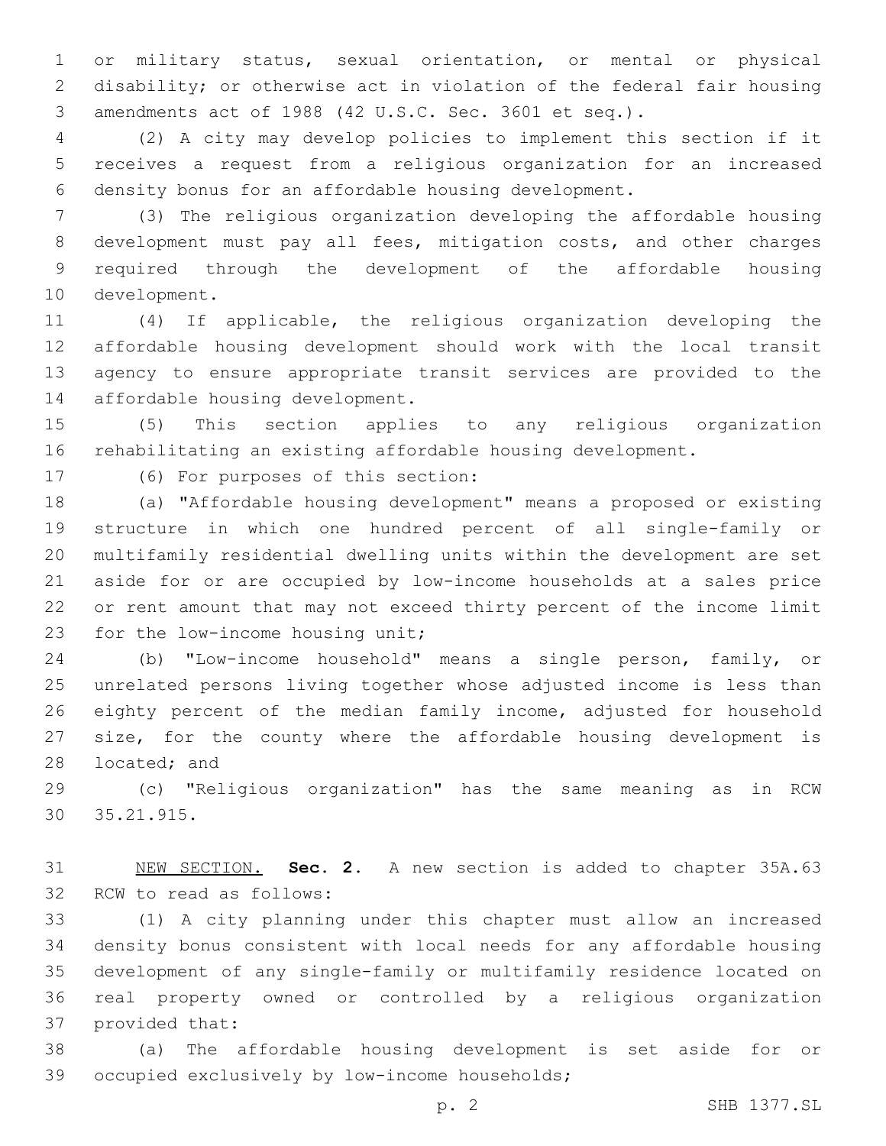or military status, sexual orientation, or mental or physical disability; or otherwise act in violation of the federal fair housing amendments act of 1988 (42 U.S.C. Sec. 3601 et seq.).

 (2) A city may develop policies to implement this section if it receives a request from a religious organization for an increased density bonus for an affordable housing development.

 (3) The religious organization developing the affordable housing development must pay all fees, mitigation costs, and other charges required through the development of the affordable housing 10 development.

 (4) If applicable, the religious organization developing the affordable housing development should work with the local transit agency to ensure appropriate transit services are provided to the 14 affordable housing development.

 (5) This section applies to any religious organization rehabilitating an existing affordable housing development.

17 (6) For purposes of this section:

 (a) "Affordable housing development" means a proposed or existing structure in which one hundred percent of all single-family or multifamily residential dwelling units within the development are set aside for or are occupied by low-income households at a sales price or rent amount that may not exceed thirty percent of the income limit 23 for the low-income housing unit;

 (b) "Low-income household" means a single person, family, or unrelated persons living together whose adjusted income is less than eighty percent of the median family income, adjusted for household size, for the county where the affordable housing development is 28 located; and

 (c) "Religious organization" has the same meaning as in RCW 30 35.21.915.

 NEW SECTION. **Sec. 2.** A new section is added to chapter 35A.63 32 RCW to read as follows:

 (1) A city planning under this chapter must allow an increased density bonus consistent with local needs for any affordable housing development of any single-family or multifamily residence located on real property owned or controlled by a religious organization 37 provided that:

 (a) The affordable housing development is set aside for or 39 occupied exclusively by low-income households;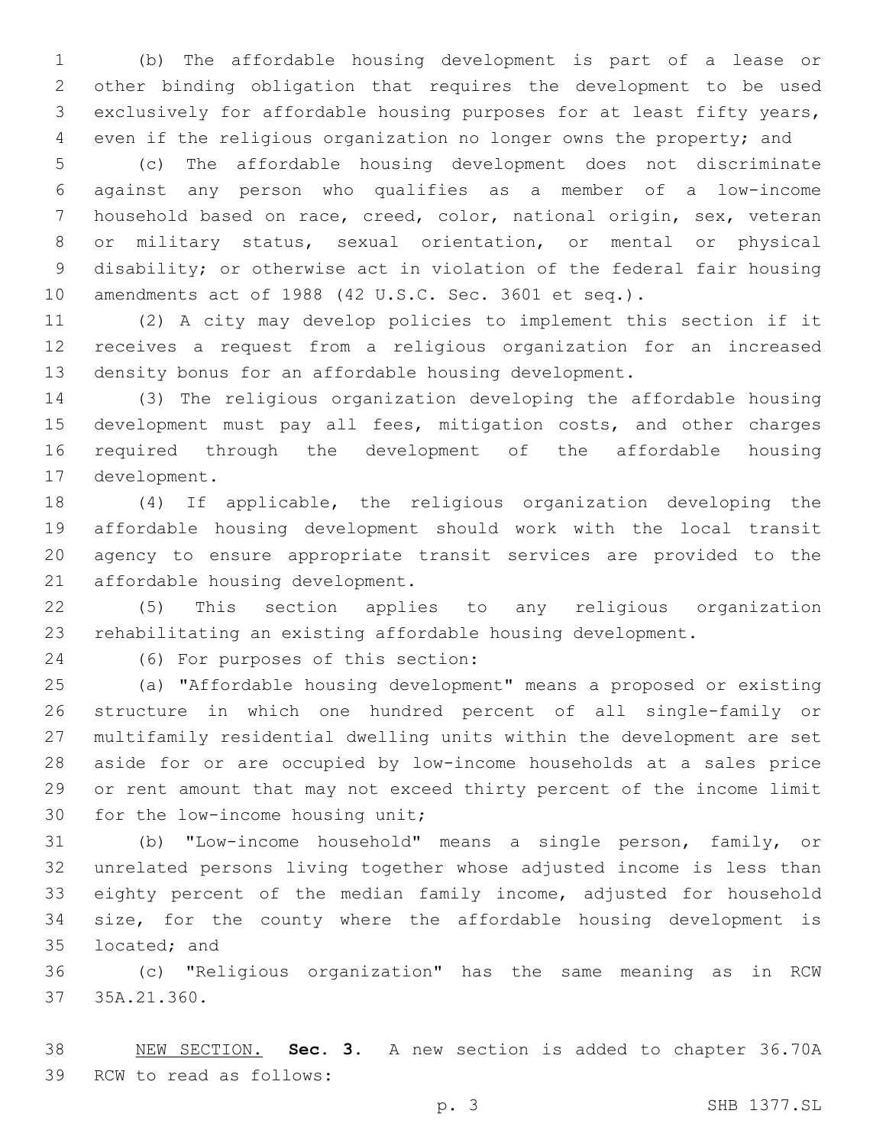(b) The affordable housing development is part of a lease or other binding obligation that requires the development to be used exclusively for affordable housing purposes for at least fifty years, even if the religious organization no longer owns the property; and

 (c) The affordable housing development does not discriminate against any person who qualifies as a member of a low-income household based on race, creed, color, national origin, sex, veteran or military status, sexual orientation, or mental or physical disability; or otherwise act in violation of the federal fair housing amendments act of 1988 (42 U.S.C. Sec. 3601 et seq.).

 (2) A city may develop policies to implement this section if it receives a request from a religious organization for an increased density bonus for an affordable housing development.

 (3) The religious organization developing the affordable housing development must pay all fees, mitigation costs, and other charges required through the development of the affordable housing 17 development.

 (4) If applicable, the religious organization developing the affordable housing development should work with the local transit agency to ensure appropriate transit services are provided to the 21 affordable housing development.

 (5) This section applies to any religious organization rehabilitating an existing affordable housing development.

(6) For purposes of this section:24

 (a) "Affordable housing development" means a proposed or existing structure in which one hundred percent of all single-family or multifamily residential dwelling units within the development are set aside for or are occupied by low-income households at a sales price or rent amount that may not exceed thirty percent of the income limit 30 for the low-income housing unit;

 (b) "Low-income household" means a single person, family, or unrelated persons living together whose adjusted income is less than eighty percent of the median family income, adjusted for household size, for the county where the affordable housing development is 35 located; and

 (c) "Religious organization" has the same meaning as in RCW 37 35A.21.360.

 NEW SECTION. **Sec. 3.** A new section is added to chapter 36.70A 39 RCW to read as follows: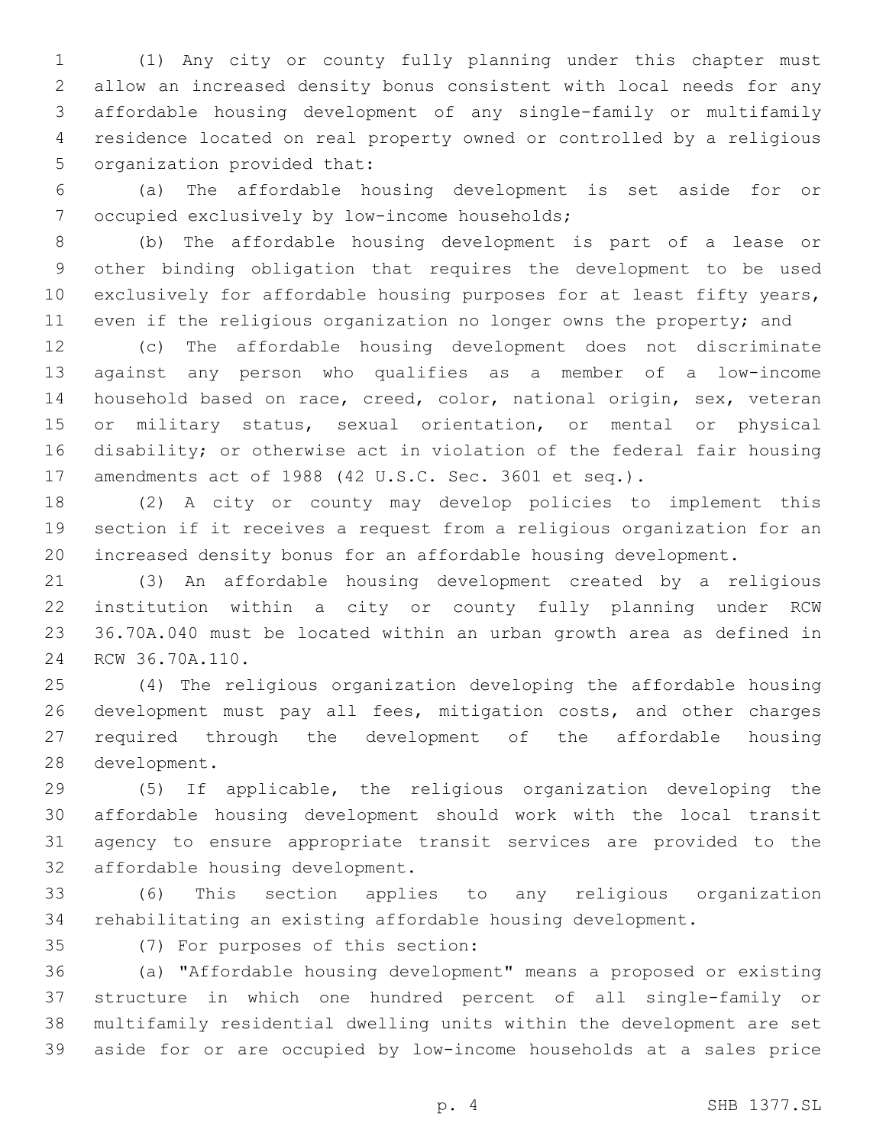(1) Any city or county fully planning under this chapter must allow an increased density bonus consistent with local needs for any affordable housing development of any single-family or multifamily residence located on real property owned or controlled by a religious 5 organization provided that:

 (a) The affordable housing development is set aside for or 7 occupied exclusively by low-income households;

 (b) The affordable housing development is part of a lease or other binding obligation that requires the development to be used exclusively for affordable housing purposes for at least fifty years, even if the religious organization no longer owns the property; and

 (c) The affordable housing development does not discriminate against any person who qualifies as a member of a low-income household based on race, creed, color, national origin, sex, veteran or military status, sexual orientation, or mental or physical disability; or otherwise act in violation of the federal fair housing amendments act of 1988 (42 U.S.C. Sec. 3601 et seq.).

 (2) A city or county may develop policies to implement this section if it receives a request from a religious organization for an increased density bonus for an affordable housing development.

 (3) An affordable housing development created by a religious institution within a city or county fully planning under RCW 36.70A.040 must be located within an urban growth area as defined in 24 RCW 36.70A.110.

 (4) The religious organization developing the affordable housing 26 development must pay all fees, mitigation costs, and other charges required through the development of the affordable housing 28 development.

 (5) If applicable, the religious organization developing the affordable housing development should work with the local transit agency to ensure appropriate transit services are provided to the 32 affordable housing development.

 (6) This section applies to any religious organization rehabilitating an existing affordable housing development.

(7) For purposes of this section:35

 (a) "Affordable housing development" means a proposed or existing structure in which one hundred percent of all single-family or multifamily residential dwelling units within the development are set aside for or are occupied by low-income households at a sales price